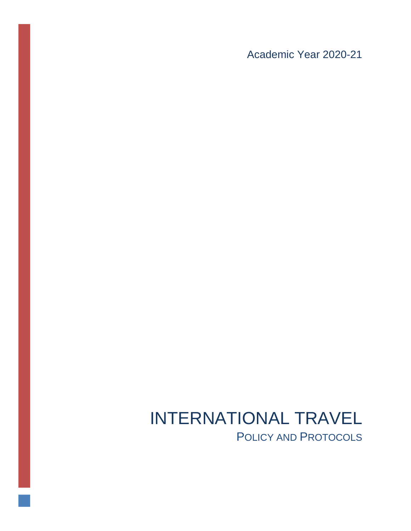Academic Year 2020-21

# INTERNATIONAL TRAVEL POLICY AND PROTOCOLS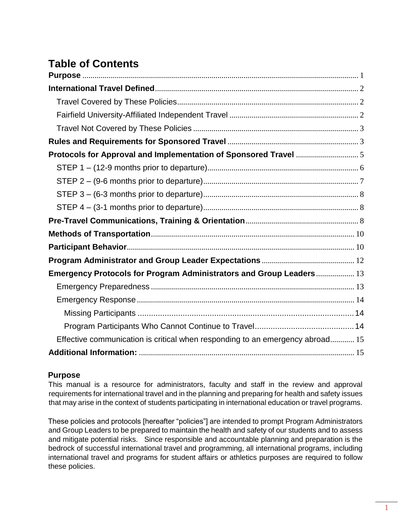# **Table of Contents**

| Protocols for Approval and Implementation of Sponsored Travel 5               |  |
|-------------------------------------------------------------------------------|--|
|                                                                               |  |
|                                                                               |  |
|                                                                               |  |
|                                                                               |  |
|                                                                               |  |
|                                                                               |  |
|                                                                               |  |
|                                                                               |  |
| Emergency Protocols for Program Administrators and Group Leaders  13          |  |
|                                                                               |  |
|                                                                               |  |
|                                                                               |  |
|                                                                               |  |
| Effective communication is critical when responding to an emergency abroad 15 |  |
|                                                                               |  |

# <span id="page-1-0"></span>**Purpose**

This manual is a resource for administrators, faculty and staff in the review and approval requirements for international travel and in the planning and preparing for health and safety issues that may arise in the context of students participating in international education or travel programs.

These policies and protocols [hereafter "policies"] are intended to prompt Program Administrators and Group Leaders to be prepared to maintain the health and safety of our students and to assess and mitigate potential risks. Since responsible and accountable planning and preparation is the bedrock of successful international travel and programming, all international programs, including international travel and programs for student affairs or athletics purposes are required to follow these policies.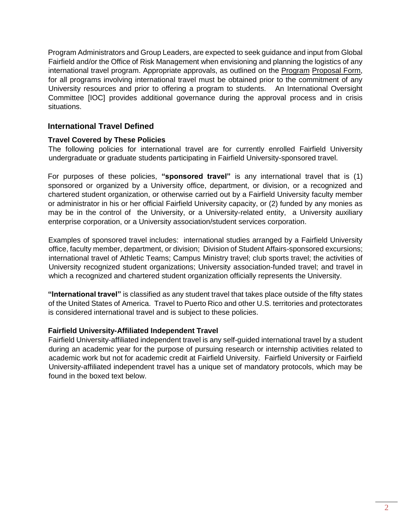Program Administrators and Group Leaders, are expected to seek guidance and input from Global Fairfield and/or the Office of Risk Management when envisioning and planning the logistics of any international travel program. Appropriate approvals, as outlined on the Program Proposal Form, for all programs involving international travel must be obtained prior to the commitment of any University resources and prior to offering a program to students. An International Oversight Committee [IOC] provides additional governance during the approval process and in crisis situations.

# <span id="page-2-0"></span>**International Travel Defined**

#### <span id="page-2-1"></span>**Travel Covered by These Policies**

The following policies for international travel are for currently enrolled Fairfield University undergraduate or graduate students participating in Fairfield University-sponsored travel.

For purposes of these policies, **"sponsored travel"** is any international travel that is (1) sponsored or organized by a University office, department, or division, or a recognized and chartered student organization, or otherwise carried out by a Fairfield University faculty member or administrator in his or her official Fairfield University capacity, or (2) funded by any monies as may be in the control of the University, or a University-related entity, a University auxiliary enterprise corporation, or a University association/student services corporation.

Examples of sponsored travel includes: international studies arranged by a Fairfield University office, faculty member, department, or division; Division of Student Affairs-sponsored excursions; international travel of Athletic Teams; Campus Ministry travel; club sports travel; the activities of University recognized student organizations; University association-funded travel; and travel in which a recognized and chartered student organization officially represents the University.

**"International travel"** is classified as any student travel that takes place outside of the fifty states of the United States of America. Travel to Puerto Rico and other U.S. territories and protectorates is considered international travel and is subject to these policies.

#### <span id="page-2-2"></span>**Fairfield University-Affiliated Independent Travel**

Fairfield University-affiliated independent travel is any self-guided international travel by a student during an academic year for the purpose of pursuing research or internship activities related to academic work but not for academic credit at Fairfield University. Fairfield University or Fairfield University-affiliated independent travel has a unique set of mandatory protocols, which may be found in the boxed text below.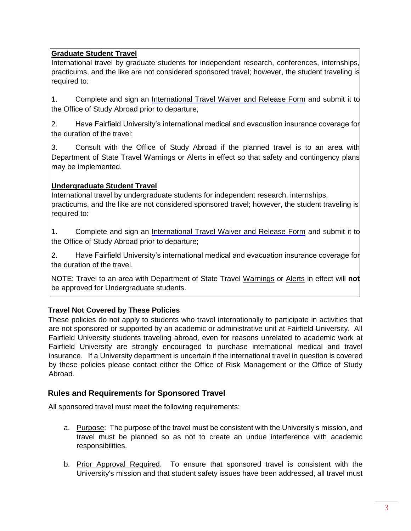### **Graduate Student Travel**

International travel by graduate students for independent research, conferences, internships, practicums, and the like are not considered sponsored travel; however, the student traveling is required to:

1. Complete and sign an International Travel Waiver and Release Form and submit it to the Office of Study Abroad prior to departure;

2. Have Fairfield University's international medical and evacuation insurance coverage for the duration of the travel;

3. Consult with the Office of Study Abroad if the planned travel is to an area with Department of State Travel Warnings or Alerts in effect so that safety and contingency plans may be implemented.

# **Undergraduate Student Travel**

International travel by undergraduate students for independent research, internships, practicums, and the like are not considered sponsored travel; however, the student traveling is required to:

1. Complete and sign an International Travel Waiver and Release Form and submit it to the Office of Study Abroad prior to departure;

2. Have Fairfield University's international medical and evacuation insurance coverage for the duration of the travel.

NOTE: Travel to an area with Department of State Travel Warnings or Alerts in effect will **not**  be approved for Undergraduate students.

# <span id="page-3-0"></span>**Travel Not Covered by These Policies**

These policies do not apply to students who travel internationally to participate in activities that are not sponsored or supported by an academic or administrative unit at Fairfield University. All Fairfield University students traveling abroad, even for reasons unrelated to academic work at Fairfield University are strongly encouraged to purchase international medical and travel insurance. If a University department is uncertain if the international travel in question is covered by these policies please contact either the Office of Risk Management or the Office of Study Abroad.

# <span id="page-3-1"></span>**Rules and Requirements for Sponsored Travel**

All sponsored travel must meet the following requirements:

- a. Purpose: The purpose of the travel must be consistent with the University's mission, and travel must be planned so as not to create an undue interference with academic responsibilities.
- b. Prior Approval Required. To ensure that sponsored travel is consistent with the University's mission and that student safety issues have been addressed, all travel must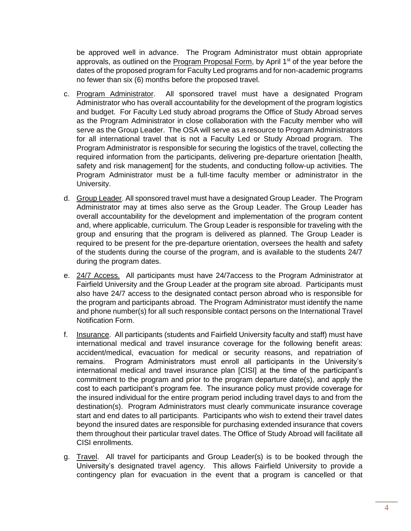be approved well in advance. The Program Administrator must obtain appropriate approvals, as outlined on the Program Proposal Form, by April 1<sup>st</sup> of the year before the dates of the proposed program for Faculty Led programs and for non-academic programs no fewer than six (6) months before the proposed travel.

- c. Program Administrator. All sponsored travel must have a designated Program Administrator who has overall accountability for the development of the program logistics and budget. For Faculty Led study abroad programs the Office of Study Abroad serves as the Program Administrator in close collaboration with the Faculty member who will serve as the Group Leader. The OSA will serve as a resource to Program Administrators for all international travel that is not a Faculty Led or Study Abroad program. The Program Administrator is responsible for securing the logistics of the travel, collecting the required information from the participants, delivering pre-departure orientation [health, safety and risk management] for the students, and conducting follow-up activities. The Program Administrator must be a full-time faculty member or administrator in the University.
- d. Group Leader. All sponsored travel must have a designated Group Leader. The Program Administrator may at times also serve as the Group Leader. The Group Leader has overall accountability for the development and implementation of the program content and, where applicable, curriculum. The Group Leader is responsible for traveling with the group and ensuring that the program is delivered as planned. The Group Leader is required to be present for the pre-departure orientation, oversees the health and safety of the students during the course of the program, and is available to the students 24/7 during the program dates.
- e. 24/7 Access. All participants must have 24/7access to the Program Administrator at Fairfield University and the Group Leader at the program site abroad. Participants must also have 24/7 access to the designated contact person abroad who is responsible for the program and participants abroad. The Program Administrator must identify the name and phone number(s) for all such responsible contact persons on the International Travel Notification Form.
- f. Insurance. All participants (students and Fairfield University faculty and staff) must have international medical and travel insurance coverage for the following benefit areas: accident/medical, evacuation for medical or security reasons, and repatriation of remains. Program Administrators must enroll all participants in the University's international medical and travel insurance plan [CISI] at the time of the participant's commitment to the program and prior to the program departure date(s), and apply the cost to each participant's program fee. The insurance policy must provide coverage for the insured individual for the entire program period including travel days to and from the destination(s). Program Administrators must clearly communicate insurance coverage start and end dates to all participants. Participants who wish to extend their travel dates beyond the insured dates are responsible for purchasing extended insurance that covers them throughout their particular travel dates. The Office of Study Abroad will facilitate all CISI enrollments.
- g. Travel. All travel for participants and Group Leader(s) is to be booked through the University's designated travel agency. This allows Fairfield University to provide a contingency plan for evacuation in the event that a program is cancelled or that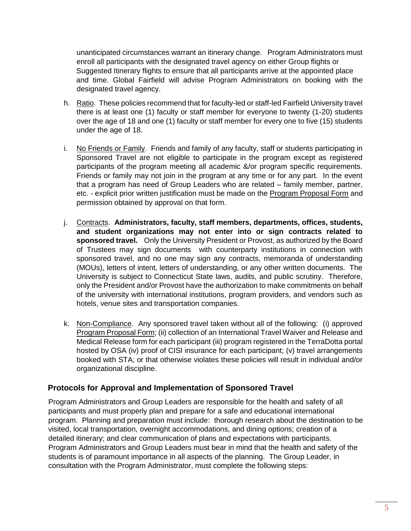unanticipated circumstances warrant an itinerary change. Program Administrators must enroll all participants with the designated travel agency on either Group flights or Suggested Itinerary flights to ensure that all participants arrive at the appointed place and time. Global Fairfield will advise Program Administrators on booking with the designated travel agency.

- h. Ratio. These policies recommend that for faculty-led or staff-led Fairfield University travel there is at least one (1) faculty or staff member for everyone to twenty (1-20) students over the age of 18 and one (1) faculty or staff member for every one to five (15) students under the age of 18.
- i. No Friends or Family. Friends and family of any faculty, staff or students participating in Sponsored Travel are not eligible to participate in the program except as registered participants of the program meeting all academic &/or program specific requirements. Friends or family may not join in the program at any time or for any part. In the event that a program has need of Group Leaders who are related – family member, partner, etc. - explicit prior written justification must be made on the Program Proposal Form and permission obtained by approval on that form.
- j. Contracts. **Administrators, faculty, staff members, departments, offices, students, and student organizations may not enter into or sign contracts related to sponsored travel.** Only the University President or Provost, as authorized by the Board of Trustees may sign documents with counterparty institutions in connection with sponsored travel, and no one may sign any contracts, memoranda of understanding (MOUs), letters of intent, letters of understanding, or any other written documents. The University is subject to Connecticut State laws, audits, and public scrutiny. Therefore, only the President and/or Provost have the authorization to make commitments on behalf of the university with international institutions, program providers, and vendors such as hotels, venue sites and transportation companies.
- k. Non-Compliance. Any sponsored travel taken without all of the following: (i) approved Program Proposal Form; (ii) collection of an International Travel Waiver and Release and Medical Release form for each participant (iii) program registered in the TerraDotta portal hosted by OSA (iv) proof of CISI insurance for each participant; (v) travel arrangements booked with STA; or that otherwise violates these policies will result in individual and/or organizational discipline.

#### <span id="page-5-0"></span>**Protocols for Approval and Implementation of Sponsored Travel**

Program Administrators and Group Leaders are responsible for the health and safety of all participants and must properly plan and prepare for a safe and educational international program. Planning and preparation must include: thorough research about the destination to be visited, local transportation, overnight accommodations, and dining options; creation of a detailed itinerary; and clear communication of plans and expectations with participants. Program Administrators and Group Leaders must bear in mind that the health and safety of the students is of paramount importance in all aspects of the planning. The Group Leader, in consultation with the Program Administrator, must complete the following steps: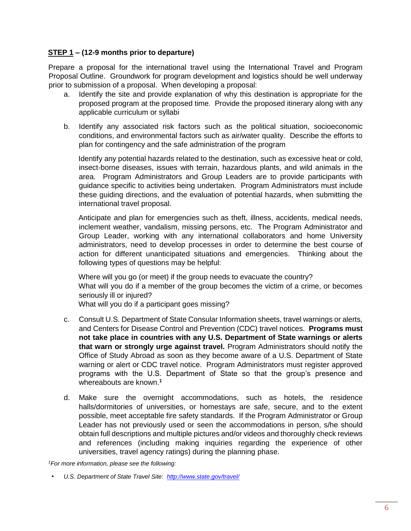#### <span id="page-6-0"></span>**STEP 1 – (12-9 months prior to departure)**

Prepare a proposal for the international travel using the International Travel and Program Proposal Outline. Groundwork for program development and logistics should be well underway prior to submission of a proposal. When developing a proposal:

- a. Identify the site and provide explanation of why this destination is appropriate for the proposed program at the proposed time. Provide the proposed itinerary along with any applicable curriculum or syllabi
- b. Identify any associated risk factors such as the political situation, socioeconomic conditions, and environmental factors such as air/water quality. Describe the efforts to plan for contingency and the safe administration of the program

Identify any potential hazards related to the destination, such as excessive heat or cold, insect-borne diseases, issues with terrain, hazardous plants, and wild animals in the area. Program Administrators and Group Leaders are to provide participants with guidance specific to activities being undertaken. Program Administrators must include these guiding directions, and the evaluation of potential hazards, when submitting the international travel proposal.

Anticipate and plan for emergencies such as theft, illness, accidents, medical needs, inclement weather, vandalism, missing persons, etc. The Program Administrator and Group Leader, working with any international collaborators and home University administrators, need to develop processes in order to determine the best course of action for different unanticipated situations and emergencies. Thinking about the following types of questions may be helpful:

Where will you go (or meet) if the group needs to evacuate the country? What will you do if a member of the group becomes the victim of a crime, or becomes seriously ill or injured?

What will you do if a participant goes missing?

- c. Consult U.S. Department of State Consular Information sheets, travel warnings or alerts, and Centers for Disease Control and Prevention (CDC) travel notices. **Programs must not take place in countries with any U.S. Department of State warnings or alerts that warn or strongly urge against travel.** Program Administrators should notify the Office of Study Abroad as soon as they become aware of a U.S. Department of State warning or alert or CDC travel notice. Program Administrators must register approved programs with the U.S. Department of State so that the group's presence and whereabouts are known.**<sup>1</sup>**
- d. Make sure the overnight accommodations, such as hotels, the residence halls/dormitories of universities, or homestays are safe, secure, and to the extent possible, meet acceptable fire safety standards. If the Program Administrator or Group Leader has not previously used or seen the accommodations in person, s/he should obtain full descriptions and multiple pictures and/or videos and thoroughly check reviews and references (including making inquiries regarding the experience of other universities, travel agency ratings) during the planning phase.

*<sup>1</sup>For more information, please see the following:* 

<sup>•</sup> *U.S. Department of State Travel Site: <http://www.state.gov/travel/>*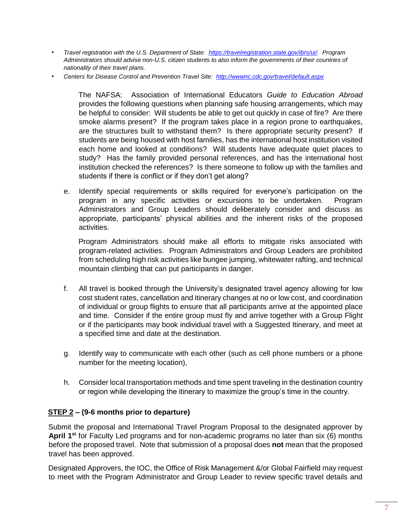- *Travel registration with the U.S. Department of State: [https://travelregistration.state.gov/ibrs/ui/.](https://travelregistration.state.gov/ibrs/ui/) Program Administrators should advise non-U.S. citizen students to also inform the governments of their countries of nationality of their travel plans.*
- *Centers for Disease Control and Prevention Travel Site: <http://wwwnc.cdc.gov/travel/default.aspx>*

The NAFSA: Association of International Educators *Guide to Education Abroad*  provides the following questions when planning safe housing arrangements, which may be helpful to consider: Will students be able to get out quickly in case of fire? Are there smoke alarms present? If the program takes place in a region prone to earthquakes, are the structures built to withstand them? Is there appropriate security present? If students are being housed with host families, has the international host institution visited each home and looked at conditions? Will students have adequate quiet places to study? Has the family provided personal references, and has the international host institution checked the references? Is there someone to follow up with the families and students if there is conflict or if they don't get along?

e. Identify special requirements or skills required for everyone's participation on the program in any specific activities or excursions to be undertaken. Program Administrators and Group Leaders should deliberately consider and discuss as appropriate, participants' physical abilities and the inherent risks of the proposed activities.

Program Administrators should make all efforts to mitigate risks associated with program-related activities. Program Administrators and Group Leaders are prohibited from scheduling high risk activities like bungee jumping, whitewater rafting, and technical mountain climbing that can put participants in danger.

- f. All travel is booked through the University's designated travel agency allowing for low cost student rates, cancellation and itinerary changes at no or low cost, and coordination of individual or group flights to ensure that all participants arrive at the appointed place and time. Consider if the entire group must fly and arrive together with a Group Flight or if the participants may book individual travel with a Suggested Itinerary, and meet at a specified time and date at the destination.
- g. Identify way to communicate with each other (such as cell phone numbers or a phone number for the meeting location),
- h. Consider local transportation methods and time spent traveling in the destination country or region while developing the itinerary to maximize the group's time in the country.

#### <span id="page-7-0"></span>**STEP 2 – (9-6 months prior to departure)**

Submit the proposal and International Travel Program Proposal to the designated approver by **April 1st** for Faculty Led programs and for non-academic programs no later than six (6) months before the proposed travel. Note that submission of a proposal does **not** mean that the proposed travel has been approved.

Designated Approvers, the IOC, the Office of Risk Management &/or Global Fairfield may request to meet with the Program Administrator and Group Leader to review specific travel details and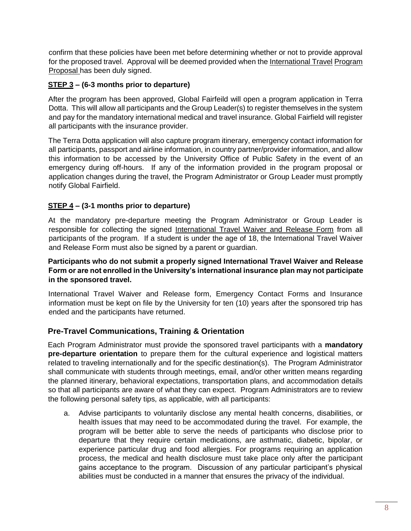confirm that these policies have been met before determining whether or not to provide approval for the proposed travel. Approval will be deemed provided when the International Travel Program Proposal has been duly signed.

#### <span id="page-8-0"></span>**STEP 3 – (6-3 months prior to departure)**

After the program has been approved, Global Fairfeild will open a program application in Terra Dotta. This will allow all participants and the Group Leader(s) to register themselves in the system and pay for the mandatory international medical and travel insurance. Global Fairfield will register all participants with the insurance provider.

The Terra Dotta application will also capture program itinerary, emergency contact information for all participants, passport and airline information, in country partner/provider information, and allow this information to be accessed by the University Office of Public Safety in the event of an emergency during off-hours. If any of the information provided in the program proposal or application changes during the travel, the Program Administrator or Group Leader must promptly notify Global Fairfield.

# <span id="page-8-1"></span>**STEP 4 – (3-1 months prior to departure)**

At the mandatory pre-departure meeting the Program Administrator or Group Leader is responsible for collecting the signed International Travel Waiver and Release Form from all participants of the program. If a student is under the age of 18, the International Travel Waiver and Release Form must also be signed by a parent or guardian.

#### **Participants who do not submit a properly signed International Travel Waiver and Release Form or are not enrolled in the University's international insurance plan may not participate in the sponsored travel.**

International Travel Waiver and Release form, Emergency Contact Forms and Insurance information must be kept on file by the University for ten (10) years after the sponsored trip has ended and the participants have returned.

# <span id="page-8-2"></span>**Pre-Travel Communications, Training & Orientation**

Each Program Administrator must provide the sponsored travel participants with a **mandatory pre-departure orientation** to prepare them for the cultural experience and logistical matters related to traveling internationally and for the specific destination(s). The Program Administrator shall communicate with students through meetings, email, and/or other written means regarding the planned itinerary, behavioral expectations, transportation plans, and accommodation details so that all participants are aware of what they can expect. Program Administrators are to review the following personal safety tips, as applicable, with all participants:

a. Advise participants to voluntarily disclose any mental health concerns, disabilities, or health issues that may need to be accommodated during the travel. For example, the program will be better able to serve the needs of participants who disclose prior to departure that they require certain medications, are asthmatic, diabetic, bipolar, or experience particular drug and food allergies. For programs requiring an application process, the medical and health disclosure must take place only after the participant gains acceptance to the program. Discussion of any particular participant's physical abilities must be conducted in a manner that ensures the privacy of the individual.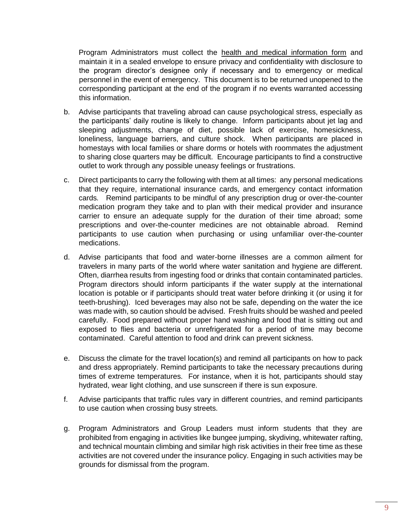Program Administrators must collect the health and medical information form and maintain it in a sealed envelope to ensure privacy and confidentiality with disclosure to the program director's designee only if necessary and to emergency or medical personnel in the event of emergency. This document is to be returned unopened to the corresponding participant at the end of the program if no events warranted accessing this information.

- b. Advise participants that traveling abroad can cause psychological stress, especially as the participants' daily routine is likely to change. Inform participants about jet lag and sleeping adjustments, change of diet, possible lack of exercise, homesickness, loneliness, language barriers, and culture shock. When participants are placed in homestays with local families or share dorms or hotels with roommates the adjustment to sharing close quarters may be difficult. Encourage participants to find a constructive outlet to work through any possible uneasy feelings or frustrations.
- c. Direct participants to carry the following with them at all times: any personal medications that they require, international insurance cards, and emergency contact information cards*.* Remind participants to be mindful of any prescription drug or over-the-counter medication program they take and to plan with their medical provider and insurance carrier to ensure an adequate supply for the duration of their time abroad; some prescriptions and over-the-counter medicines are not obtainable abroad. Remind participants to use caution when purchasing or using unfamiliar over-the-counter medications.
- d. Advise participants that food and water-borne illnesses are a common ailment for travelers in many parts of the world where water sanitation and hygiene are different. Often, diarrhea results from ingesting food or drinks that contain contaminated particles. Program directors should inform participants if the water supply at the international location is potable or if participants should treat water before drinking it (or using it for teeth-brushing). Iced beverages may also not be safe, depending on the water the ice was made with, so caution should be advised. Fresh fruits should be washed and peeled carefully. Food prepared without proper hand washing and food that is sitting out and exposed to flies and bacteria or unrefrigerated for a period of time may become contaminated. Careful attention to food and drink can prevent sickness.
- e. Discuss the climate for the travel location(s) and remind all participants on how to pack and dress appropriately. Remind participants to take the necessary precautions during times of extreme temperatures. For instance, when it is hot, participants should stay hydrated, wear light clothing, and use sunscreen if there is sun exposure.
- f. Advise participants that traffic rules vary in different countries, and remind participants to use caution when crossing busy streets.
- g. Program Administrators and Group Leaders must inform students that they are prohibited from engaging in activities like bungee jumping, skydiving, whitewater rafting, and technical mountain climbing and similar high risk activities in their free time as these activities are not covered under the insurance policy. Engaging in such activities may be grounds for dismissal from the program.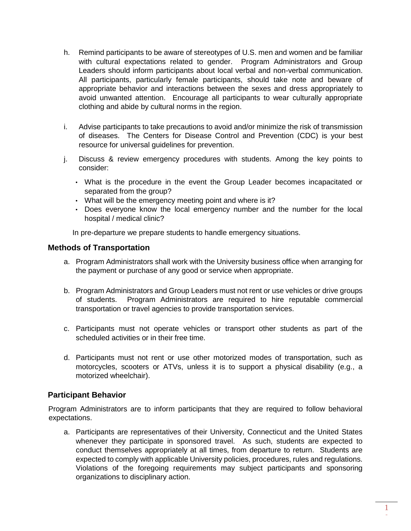- h. Remind participants to be aware of stereotypes of U.S. men and women and be familiar with cultural expectations related to gender. Program Administrators and Group Leaders should inform participants about local verbal and non-verbal communication. All participants, particularly female participants, should take note and beware of appropriate behavior and interactions between the sexes and dress appropriately to avoid unwanted attention. Encourage all participants to wear culturally appropriate clothing and abide by cultural norms in the region.
- i. Advise participants to take precautions to avoid and/or minimize the risk of transmission of diseases. The Centers for Disease Control and Prevention (CDC) is your best resource for universal guidelines for prevention.
- j. Discuss & review emergency procedures with students. Among the key points to consider:
	- What is the procedure in the event the Group Leader becomes incapacitated or separated from the group?
	- What will be the emergency meeting point and where is it?
	- Does everyone know the local emergency number and the number for the local hospital / medical clinic?

In pre-departure we prepare students to handle emergency situations.

#### <span id="page-10-0"></span>**Methods of Transportation**

- a. Program Administrators shall work with the University business office when arranging for the payment or purchase of any good or service when appropriate.
- b. Program Administrators and Group Leaders must not rent or use vehicles or drive groups of students. Program Administrators are required to hire reputable commercial transportation or travel agencies to provide transportation services.
- c. Participants must not operate vehicles or transport other students as part of the scheduled activities or in their free time.
- d. Participants must not rent or use other motorized modes of transportation, such as motorcycles, scooters or ATVs, unless it is to support a physical disability (e.g., a motorized wheelchair).

#### <span id="page-10-1"></span>**Participant Behavior**

Program Administrators are to inform participants that they are required to follow behavioral expectations.

a. Participants are representatives of their University, Connecticut and the United States whenever they participate in sponsored travel. As such, students are expected to conduct themselves appropriately at all times, from departure to return. Students are expected to comply with applicable University policies, procedures, rules and regulations. Violations of the foregoing requirements may subject participants and sponsoring organizations to disciplinary action.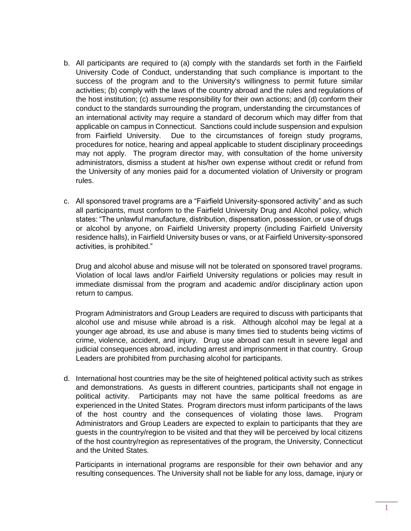- b. All participants are required to (a) comply with the standards set forth in the Fairfield University Code of Conduct, understanding that such compliance is important to the success of the program and to the University's willingness to permit future similar activities; (b) comply with the laws of the country abroad and the rules and regulations of the host institution; (c) assume responsibility for their own actions; and (d) conform their conduct to the standards surrounding the program, understanding the circumstances of an international activity may require a standard of decorum which may differ from that applicable on campus in Connecticut. Sanctions could include suspension and expulsion from Fairfield University. Due to the circumstances of foreign study programs, procedures for notice, hearing and appeal applicable to student disciplinary proceedings may not apply. The program director may, with consultation of the home university administrators, dismiss a student at his/her own expense without credit or refund from the University of any monies paid for a documented violation of University or program rules.
- c. All sponsored travel programs are a "Fairfield University-sponsored activity" and as such all participants, must conform to the Fairfield University Drug and Alcohol policy, which states: "The unlawful manufacture, distribution, dispensation, possession, or use of drugs or alcohol by anyone, on Fairfield University property (including Fairfield University residence halls), in Fairfield University buses or vans, or at Fairfield University-sponsored activities, is prohibited."

Drug and alcohol abuse and misuse will not be tolerated on sponsored travel programs. Violation of local laws and/or Fairfield University regulations or policies may result in immediate dismissal from the program and academic and/or disciplinary action upon return to campus.

Program Administrators and Group Leaders are required to discuss with participants that alcohol use and misuse while abroad is a risk. Although alcohol may be legal at a younger age abroad, its use and abuse is many times tied to students being victims of crime, violence, accident, and injury. Drug use abroad can result in severe legal and judicial consequences abroad, including arrest and imprisonment in that country. Group Leaders are prohibited from purchasing alcohol for participants.

d. International host countries may be the site of heightened political activity such as strikes and demonstrations. As guests in different countries, participants shall not engage in political activity. Participants may not have the same political freedoms as are experienced in the United States. Program directors must inform participants of the laws of the host country and the consequences of violating those laws. Program Administrators and Group Leaders are expected to explain to participants that they are guests in the country/region to be visited and that they will be perceived by local citizens of the host country/region as representatives of the program, the University, Connecticut and the United States.

Participants in international programs are responsible for their own behavior and any resulting consequences. The University shall not be liable for any loss, damage, injury or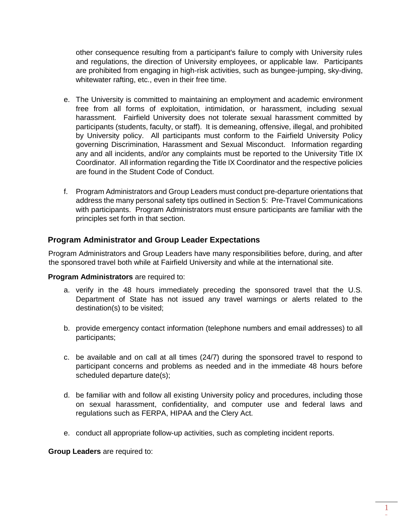other consequence resulting from a participant's failure to comply with University rules and regulations, the direction of University employees, or applicable law. Participants are prohibited from engaging in high-risk activities, such as bungee-jumping, sky-diving, whitewater rafting, etc., even in their free time.

- e. The University is committed to maintaining an employment and academic environment free from all forms of exploitation, intimidation, or harassment, including sexual harassment. Fairfield University does not tolerate sexual harassment committed by participants (students, faculty, or staff). It is demeaning, offensive, illegal, and prohibited by University policy. All participants must conform to the Fairfield University Policy governing Discrimination, Harassment and Sexual Misconduct. Information regarding any and all incidents, and/or any complaints must be reported to the University Title IX Coordinator. All information regarding the Title IX Coordinator and the respective policies are found in the Student Code of Conduct.
- f. Program Administrators and Group Leaders must conduct pre-departure orientations that address the many personal safety tips outlined in Section 5: Pre-Travel Communications with participants. Program Administrators must ensure participants are familiar with the principles set forth in that section.

# <span id="page-12-0"></span>**Program Administrator and Group Leader Expectations**

Program Administrators and Group Leaders have many responsibilities before, during, and after the sponsored travel both while at Fairfield University and while at the international site.

#### **Program Administrators** are required to:

- a. verify in the 48 hours immediately preceding the sponsored travel that the U.S. Department of State has not issued any travel warnings or alerts related to the destination(s) to be visited;
- b. provide emergency contact information (telephone numbers and email addresses) to all participants;
- c. be available and on call at all times (24/7) during the sponsored travel to respond to participant concerns and problems as needed and in the immediate 48 hours before scheduled departure date(s);
- d. be familiar with and follow all existing University policy and procedures, including those on sexual harassment, confidentiality, and computer use and federal laws and regulations such as FERPA, HIPAA and the Clery Act.
- e. conduct all appropriate follow-up activities, such as completing incident reports.

**Group Leaders** are required to: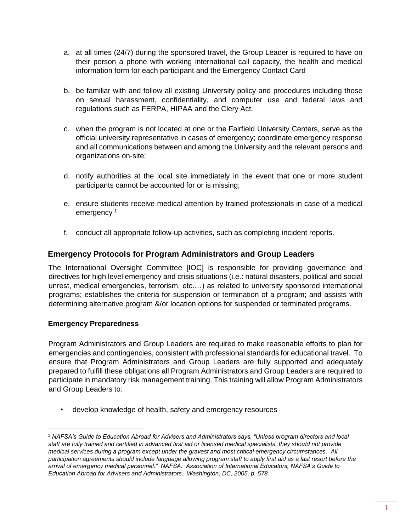- a. at all times (24/7) during the sponsored travel, the Group Leader is required to have on their person a phone with working international call capacity, the health and medical information form for each participant and the Emergency Contact Card
- b. be familiar with and follow all existing University policy and procedures including those on sexual harassment, confidentiality, and computer use and federal laws and regulations such as FERPA, HIPAA and the Clery Act.
- c. when the program is not located at one or the Fairfield University Centers, serve as the official university representative in cases of emergency; coordinate emergency response and all communications between and among the University and the relevant persons and organizations on-site;
- d. notify authorities at the local site immediately in the event that one or more student participants cannot be accounted for or is missing;
- e. ensure students receive medical attention by trained professionals in case of a medical emergency<sup>1</sup>
- f. conduct all appropriate follow-up activities, such as completing incident reports.

# <span id="page-13-0"></span>**Emergency Protocols for Program Administrators and Group Leaders**

The International Oversight Committee [IOC] is responsible for providing governance and directives for high level emergency and crisis situations (i.e.: natural disasters, political and social unrest, medical emergencies, terrorism, etc.…) as related to university sponsored international programs; establishes the criteria for suspension or termination of a program; and assists with determining alternative program &/or location options for suspended or terminated programs.

#### <span id="page-13-1"></span>**Emergency Preparedness**

 $\overline{a}$ 

Program Administrators and Group Leaders are required to make reasonable efforts to plan for emergencies and contingencies, consistent with professional standards for educational travel. To ensure that Program Administrators and Group Leaders are fully supported and adequately prepared to fulfill these obligations all Program Administrators and Group Leaders are required to participate in mandatory risk management training. This training will allow Program Administrators and Group Leaders to:

• develop knowledge of health, safety and emergency resources

<sup>1</sup> *NAFSA's Guide to Education Abroad for Advisers and Administrators says, "Unless program directors and local*  staff are fully trained and certified in advanced first aid or licensed medical specialists, they should not provide *medical services during a program except under the gravest and most critical emergency circumstances. All participation agreements should include language allowing program staff to apply first aid as a last resort before the arrival of emergency medical personnel." NAFSA: Association of International Educators, NAFSA's Guide to Education Abroad for Advisers and Administrators. Washington, DC, 2005, p. 578.*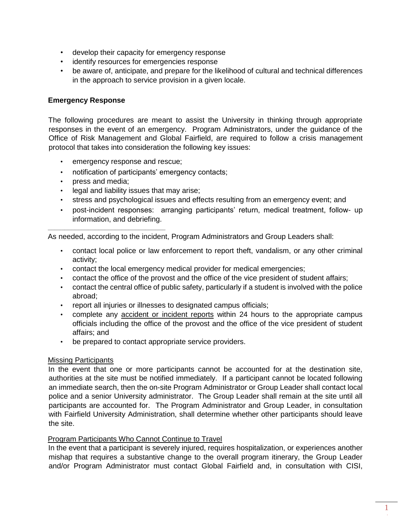- develop their capacity for emergency response
- identify resources for emergencies response
- be aware of, anticipate, and prepare for the likelihood of cultural and technical differences in the approach to service provision in a given locale.

#### <span id="page-14-0"></span>**Emergency Response**

The following procedures are meant to assist the University in thinking through appropriate responses in the event of an emergency. Program Administrators, under the guidance of the Office of Risk Management and Global Fairfield, are required to follow a crisis management protocol that takes into consideration the following key issues:

- emergency response and rescue;
- notification of participants' emergency contacts;
- press and media;

*\_\_\_\_\_\_\_\_\_\_\_\_\_\_\_\_\_\_\_\_\_\_\_\_\_\_\_\_\_\_\_\_\_\_\_* 

- legal and liability issues that may arise;
- stress and psychological issues and effects resulting from an emergency event; and
- post-incident responses: arranging participants' return, medical treatment, follow- up information, and debriefing.

As needed, according to the incident, Program Administrators and Group Leaders shall:

- contact local police or law enforcement to report theft, vandalism, or any other criminal activity;
- contact the local emergency medical provider for medical emergencies;
- contact the office of the provost and the office of the vice president of student affairs;
- contact the central office of public safety, particularly if a student is involved with the police abroad;
- report all injuries or illnesses to designated campus officials;
- complete any accident or incident reports within 24 hours to the appropriate campus officials including the office of the provost and the office of the vice president of student affairs; and
- be prepared to contact appropriate service providers.

#### <span id="page-14-1"></span>Missing Participants

In the event that one or more participants cannot be accounted for at the destination site, authorities at the site must be notified immediately. If a participant cannot be located following an immediate search, then the on-site Program Administrator or Group Leader shall contact local police and a senior University administrator. The Group Leader shall remain at the site until all participants are accounted for. The Program Administrator and Group Leader, in consultation with Fairfield University Administration, shall determine whether other participants should leave the site.

#### <span id="page-14-2"></span>Program Participants Who Cannot Continue to Travel

In the event that a participant is severely injured, requires hospitalization, or experiences another mishap that requires a substantive change to the overall program itinerary, the Group Leader and/or Program Administrator must contact Global Fairfield and, in consultation with CISI,